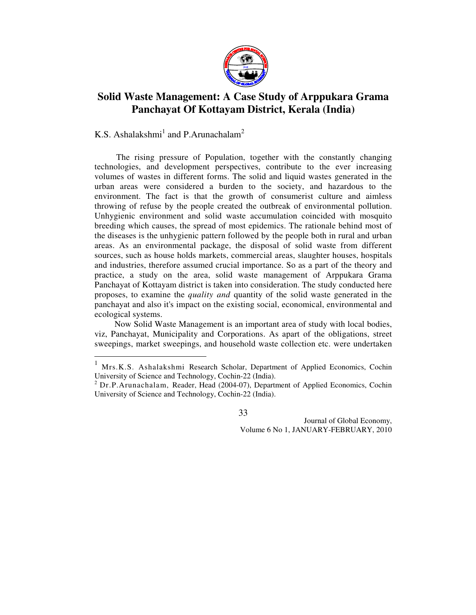

# **Solid Waste Management: A Case Study of Arppukara Grama Panchayat Of Kottayam District, Kerala (India)**

K.S. Ashalakshmi<sup>1</sup> and P.Arunachalam<sup>2</sup>

 The rising pressure of Population, together with the constantly changing technologies, and development perspectives, contribute to the ever increasing volumes of wastes in different forms. The solid and liquid wastes generated in the urban areas were considered a burden to the society, and hazardous to the environment. The fact is that the growth of consumerist culture and aimless throwing of refuse by the people created the outbreak of environmental pollution. Unhygienic environment and solid waste accumulation coincided with mosquito breeding which causes, the spread of most epidemics. The rationale behind most of the diseases is the unhygienic pattern followed by the people both in rural and urban areas. As an environmental package, the disposal of solid waste from different sources, such as house holds markets, commercial areas, slaughter houses, hospitals and industries, therefore assumed crucial importance. So as a part of the theory and practice, a study on the area, solid waste management of Arppukara Grama Panchayat of Kottayam district is taken into consideration. The study conducted here proposes, to examine the *quality and* quantity of the solid waste generated in the panchayat and also it's impact on the existing social, economical, environmental and ecological systems.

 Now Solid Waste Management is an important area of study with local bodies, viz, Panchayat, Municipality and Corporations. As apart of the obligations, street sweepings, market sweepings, and household waste collection etc. were undertaken

33

 $\mathbf{1}$ <sup>1</sup> Mrs.K.S. Ashalakshmi Research Scholar, Department of Applied Economics, Cochin University of Science and Technology, Cochin-22 (India).

 $2^{2}$  Dr.P.Arunachalam, Reader, Head (2004-07), Department of Applied Economics, Cochin University of Science and Technology, Cochin-22 (India).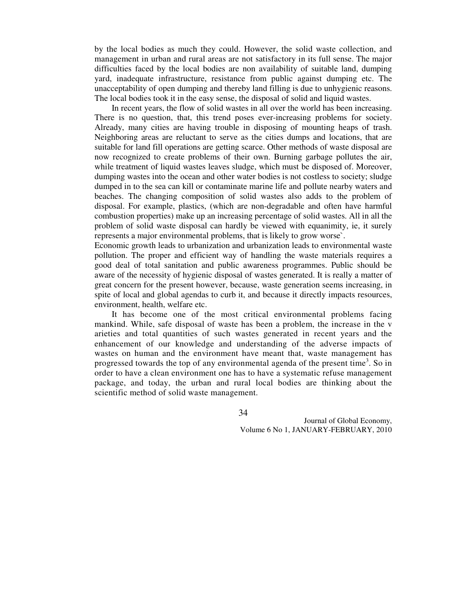by the local bodies as much they could. However, the solid waste collection, and management in urban and rural areas are not satisfactory in its full sense. The major difficulties faced by the local bodies are non availability of suitable land, dumping yard, inadequate infrastructure, resistance from public against dumping etc. The unacceptability of open dumping and thereby land filling is due to unhygienic reasons. The local bodies took it in the easy sense, the disposal of solid and liquid wastes.

 In recent years, the flow of solid wastes in all over the world has been increasing. There is no question, that, this trend poses ever-increasing problems for society. Already, many cities are having trouble in disposing of mounting heaps of trash. Neighboring areas are reluctant to serve as the cities dumps and locations, that are suitable for land fill operations are getting scarce. Other methods of waste disposal are now recognized to create problems of their own. Burning garbage pollutes the air, while treatment of liquid wastes leaves sludge, which must be disposed of. Moreover, dumping wastes into the ocean and other water bodies is not costless to society; sludge dumped in to the sea can kill or contaminate marine life and pollute nearby waters and beaches. The changing composition of solid wastes also adds to the problem of disposal. For example, plastics, (which are non-degradable and often have harmful combustion properties) make up an increasing percentage of solid wastes. All in all the problem of solid waste disposal can hardly be viewed with equanimity, ie, it surely represents a major environmental problems, that is likely to grow worse`.

Economic growth leads to urbanization and urbanization leads to environmental waste pollution. The proper and efficient way of handling the waste materials requires a good deal of total sanitation and public awareness programmes. Public should be aware of the necessity of hygienic disposal of wastes generated. It is really a matter of great concern for the present however, because, waste generation seems increasing, in spite of local and global agendas to curb it, and because it directly impacts resources, environment, health, welfare etc.

 It has become one of the most critical environmental problems facing mankind. While, safe disposal of waste has been a problem, the increase in the v arieties and total quantities of such wastes generated in recent years and the enhancement of our knowledge and understanding of the adverse impacts of wastes on human and the environment have meant that, waste management has progressed towards the top of any environmental agenda of the present time<sup>3</sup>. So in order to have a clean environment one has to have a systematic refuse management package, and today, the urban and rural local bodies are thinking about the scientific method of solid waste management.

34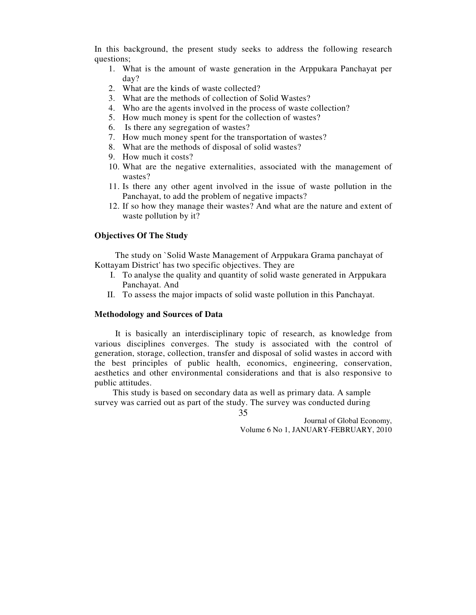In this background, the present study seeks to address the following research questions;

- 1. What is the amount of waste generation in the Arppukara Panchayat per day?
- 2. What are the kinds of waste collected?
- 3. What are the methods of collection of Solid Wastes?
- 4. Who are the agents involved in the process of waste collection?
- 5. How much money is spent for the collection of wastes?
- 6. Is there any segregation of wastes?
- 7. How much money spent for the transportation of wastes?
- 8. What are the methods of disposal of solid wastes?
- 9. How much it costs?
- 10. What are the negative externalities, associated with the management of wastes?
- 11. Is there any other agent involved in the issue of waste pollution in the Panchayat, to add the problem of negative impacts?
- 12. If so how they manage their wastes? And what are the nature and extent of waste pollution by it?

#### **Objectives Of The Study**

 The study on `Solid Waste Management of Arppukara Grama panchayat of Kottayam District' has two specific objectives. They are

- I. To analyse the quality and quantity of solid waste generated in Arppukara Panchayat. And
- II. To assess the major impacts of solid waste pollution in this Panchayat.

#### **Methodology and Sources of Data**

 It is basically an interdisciplinary topic of research, as knowledge from various disciplines converges. The study is associated with the control of generation, storage, collection, transfer and disposal of solid wastes in accord with the best principles of public health, economics, engineering, conservation, aesthetics and other environmental considerations and that is also responsive to public attitudes.

 This study is based on secondary data as well as primary data. A sample survey was carried out as part of the study. The survey was conducted during

35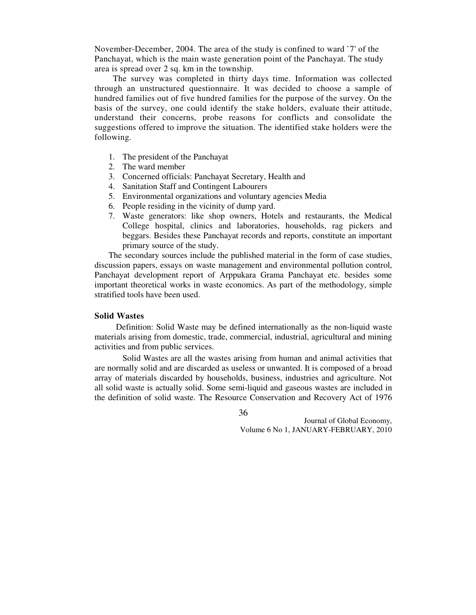November-December, 2004. The area of the study is confined to ward `7' of the Panchayat, which is the main waste generation point of the Panchayat. The study area is spread over 2 sq. km in the township.

 The survey was completed in thirty days time. Information was collected through an unstructured questionnaire. It was decided to choose a sample of hundred families out of five hundred families for the purpose of the survey. On the basis of the survey, one could identify the stake holders, evaluate their attitude, understand their concerns, probe reasons for conflicts and consolidate the suggestions offered to improve the situation. The identified stake holders were the following.

- 1. The president of the Panchayat
- 2. The ward member
- 3. Concerned officials: Panchayat Secretary, Health and
- 4. Sanitation Staff and Contingent Labourers
- 5. Environmental organizations and voluntary agencies Media
- 6. People residing in the vicinity of dump yard.
- 7. Waste generators: like shop owners, Hotels and restaurants, the Medical College hospital, clinics and laboratories, households, rag pickers and beggars. Besides these Panchayat records and reports, constitute an important primary source of the study.

The secondary sources include the published material in the form of case studies, discussion papers, essays on waste management and environmental pollution control, Panchayat development report of Arppukara Grama Panchayat etc. besides some important theoretical works in waste economics. As part of the methodology, simple stratified tools have been used.

## **Solid Wastes**

 Definition: Solid Waste may be defined internationally as the non-liquid waste materials arising from domestic, trade, commercial, industrial, agricultural and mining activities and from public services.

Solid Wastes are all the wastes arising from human and animal activities that are normally solid and are discarded as useless or unwanted. It is composed of a broad array of materials discarded by households, business, industries and agriculture. Not all solid waste is actually solid. Some semi-liquid and gaseous wastes are included in the definition of solid waste. The Resource Conservation and Recovery Act of 1976

36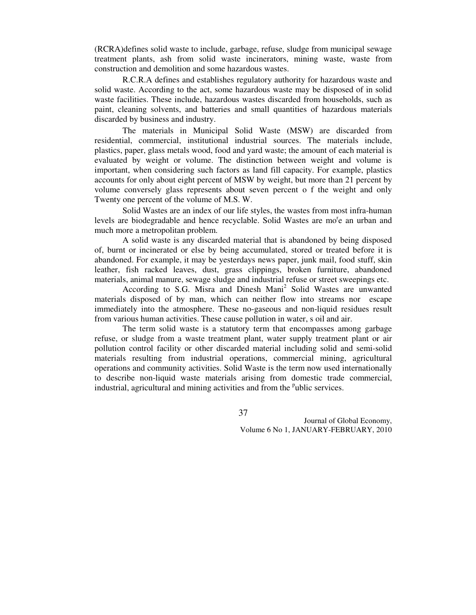(RCRA)defines solid waste to include, garbage, refuse, sludge from municipal sewage treatment plants, ash from solid waste incinerators, mining waste, waste from construction and demolition and some hazardous wastes.

R.C.R.A defines and establishes regulatory authority for hazardous waste and solid waste. According to the act, some hazardous waste may be disposed of in solid waste facilities. These include, hazardous wastes discarded from households, such as paint, cleaning solvents, and batteries and small quantities of hazardous materials discarded by business and industry.

The materials in Municipal Solid Waste (MSW) are discarded from residential, commercial, institutional industrial sources. The materials include, plastics, paper, glass metals wood, food and yard waste; the amount of each material is evaluated by weight or volume. The distinction between weight and volume is important, when considering such factors as land fill capacity. For example, plastics accounts for only about eight percent of MSW by weight, but more than 21 percent by volume conversely glass represents about seven percent o f the weight and only Twenty one percent of the volume of M.S. W.

Solid Wastes are an index of our life styles, the wastes from most infra-human levels are biodegradable and hence recyclable. Solid Wastes are mo<sup>r</sup>e an urban and much more a metropolitan problem.

A solid waste is any discarded material that is abandoned by being disposed of, burnt or incinerated or else by being accumulated, stored or treated before it is abandoned. For example, it may be yesterdays news paper, junk mail, food stuff, skin leather, fish racked leaves, dust, grass clippings, broken furniture, abandoned materials, animal manure, sewage sludge and industrial refuse or street sweepings etc.

According to S.G. Misra and Dinesh Mani<sup>2</sup> Solid Wastes are unwanted materials disposed of by man, which can neither flow into streams nor escape immediately into the atmosphere. These no-gaseous and non-liquid residues result from various human activities. These cause pollution in water, s oil and air.

The term solid waste is a statutory term that encompasses among garbage refuse, or sludge from a waste treatment plant, water supply treatment plant or air pollution control facility or other discarded material including solid and semi-solid materials resulting from industrial operations, commercial mining, agricultural operations and community activities. Solid Waste is the term now used internationally to describe non-liquid waste materials arising from domestic trade commercial, industrial, agricultural and mining activities and from the <sup>p</sup>ublic services.

37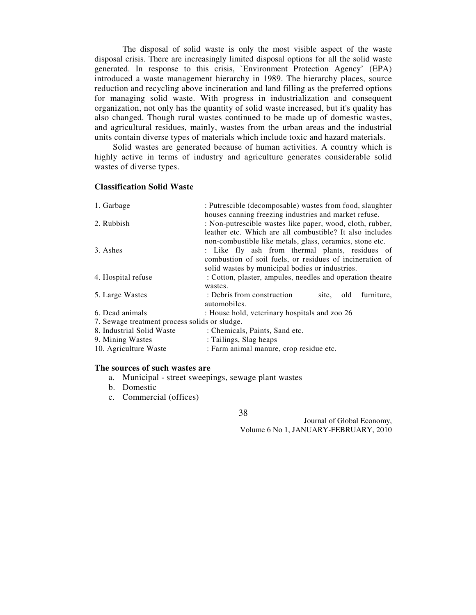The disposal of solid waste is only the most visible aspect of the waste disposal crisis. There are increasingly limited disposal options for all the solid waste generated. In response to this crisis, `Environment Protection Agency' (EPA) introduced a waste management hierarchy in 1989. The hierarchy places, source reduction and recycling above incineration and land filling as the preferred options for managing solid waste. With progress in industrialization and consequent organization, not only has the quantity of solid waste increased, but it's quality has also changed. Though rural wastes continued to be made up of domestic wastes, and agricultural residues, mainly, wastes from the urban areas and the industrial units contain diverse types of materials which include toxic and hazard materials.

 Solid wastes are generated because of human activities. A country which is highly active in terms of industry and agriculture generates considerable solid wastes of diverse types.

#### **Classification Solid Waste**

| houses canning freezing industries and market refuse.<br>: Non-putrescible wastes like paper, wood, cloth, rubber,<br>2. Rubbish<br>leather etc. Which are all combustible? It also includes |  |
|----------------------------------------------------------------------------------------------------------------------------------------------------------------------------------------------|--|
|                                                                                                                                                                                              |  |
|                                                                                                                                                                                              |  |
|                                                                                                                                                                                              |  |
| non-combustible like metals, glass, ceramics, stone etc.                                                                                                                                     |  |
| 3. Ashes<br>: Like fly ash from thermal plants, residues of                                                                                                                                  |  |
| combustion of soil fuels, or residues of incineration of                                                                                                                                     |  |
| solid wastes by municipal bodies or industries.                                                                                                                                              |  |
| : Cotton, plaster, ampules, needles and operation theatre<br>4. Hospital refuse                                                                                                              |  |
| wastes.                                                                                                                                                                                      |  |
| 5. Large Wastes<br>: Debris from construction<br>furniture,<br>site,<br>old                                                                                                                  |  |
| automobiles.                                                                                                                                                                                 |  |
| 6. Dead animals<br>: House hold, veterinary hospitals and zoo 26                                                                                                                             |  |
| 7. Sewage treatment process solids or sludge.                                                                                                                                                |  |
| 8. Industrial Solid Waste<br>: Chemicals, Paints, Sand etc.                                                                                                                                  |  |
| : Tailings, Slag heaps<br>9. Mining Wastes                                                                                                                                                   |  |
| : Farm animal manure, crop residue etc.<br>10. Agriculture Waste                                                                                                                             |  |

#### **The sources of such wastes are**

- a. Municipal street sweepings, sewage plant wastes
- b. Domestic
- c. Commercial (offices)

38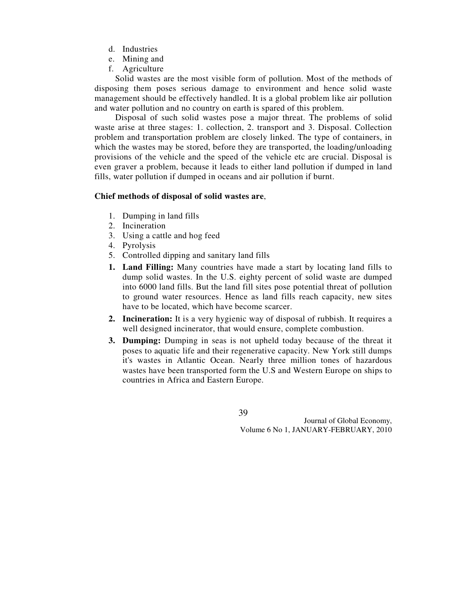- d. Industries
- e. Mining and
- f. Agriculture

 Solid wastes are the most visible form of pollution. Most of the methods of disposing them poses serious damage to environment and hence solid waste management should be effectively handled. It is a global problem like air pollution and water pollution and no country on earth is spared of this problem.

 Disposal of such solid wastes pose a major threat. The problems of solid waste arise at three stages: 1. collection, 2. transport and 3. Disposal. Collection problem and transportation problem are closely linked. The type of containers, in which the wastes may be stored, before they are transported, the loading/unloading provisions of the vehicle and the speed of the vehicle etc are crucial. Disposal is even graver a problem, because it leads to either land pollution if dumped in land fills, water pollution if dumped in oceans and air pollution if burnt.

#### **Chief methods of disposal of solid wastes are**,

- 1. Dumping in land fills
- 2. Incineration
- 3. Using a cattle and hog feed
- 4. Pyrolysis
- 5. Controlled dipping and sanitary land fills
- **1. Land Filling:** Many countries have made a start by locating land fills to dump solid wastes. In the U.S. eighty percent of solid waste are dumped into 6000 land fills. But the land fill sites pose potential threat of pollution to ground water resources. Hence as land fills reach capacity, new sites have to be located, which have become scarcer.
- **2. Incineration:** It is a very hygienic way of disposal of rubbish. It requires a well designed incinerator, that would ensure, complete combustion.
- **3. Dumping:** Dumping in seas is not upheld today because of the threat it poses to aquatic life and their regenerative capacity. New York still dumps it's wastes in Atlantic Ocean. Nearly three million tones of hazardous wastes have been transported form the U.S and Western Europe on ships to countries in Africa and Eastern Europe.

39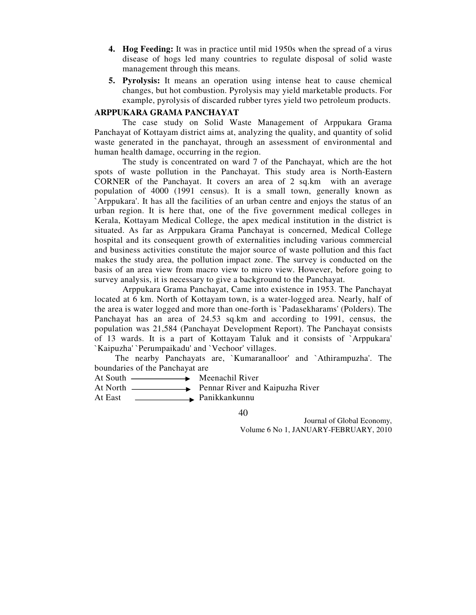- **4. Hog Feeding:** It was in practice until mid 1950s when the spread of a virus disease of hogs led many countries to regulate disposal of solid waste management through this means.
- **5. Pyrolysis:** It means an operation using intense heat to cause chemical changes, but hot combustion. Pyrolysis may yield marketable products. For example, pyrolysis of discarded rubber tyres yield two petroleum products.

## **ARPPUKARA GRAMA PANCHAYAT**

The case study on Solid Waste Management of Arppukara Grama Panchayat of Kottayam district aims at, analyzing the quality, and quantity of solid waste generated in the panchayat, through an assessment of environmental and human health damage, occurring in the region.

The study is concentrated on ward 7 of the Panchayat, which are the hot spots of waste pollution in the Panchayat. This study area is North-Eastern CORNER of the Panchayat. It covers an area of 2 sq.km with an average population of 4000 (1991 census). It is a small town, generally known as `Arppukara'. It has all the facilities of an urban centre and enjoys the status of an urban region. It is here that, one of the five government medical colleges in Kerala, Kottayam Medical College, the apex medical institution in the district is situated. As far as Arppukara Grama Panchayat is concerned, Medical College hospital and its consequent growth of externalities including various commercial and business activities constitute the major source of waste pollution and this fact makes the study area, the pollution impact zone. The survey is conducted on the basis of an area view from macro view to micro view. However, before going to survey analysis, it is necessary to give a background to the Panchayat.

Arppukara Grama Panchayat, Came into existence in 1953. The Panchayat located at 6 km. North of Kottayam town, is a water-logged area. Nearly, half of the area is water logged and more than one-forth is `Padasekharams' (Polders). The Panchayat has an area of 24.53 sq.km and according to 1991, census, the population was 21,584 (Panchayat Development Report). The Panchayat consists of 13 wards. It is a part of Kottayam Taluk and it consists of `Arppukara' `Kaipuzha' `Perumpaikadu' and `Vechoor' villages.

 The nearby Panchayats are, `Kumaranalloor' and `Athirampuzha'. The boundaries of the Panchayat are

- At South **Meenachil River**
- At North **Pennar River and Kaipuzha River**
- At East <u>Immused</u> Panikkankunnu

40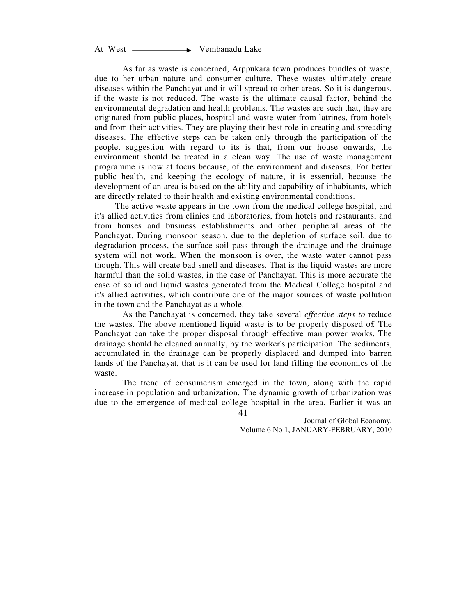At West — **Vembanadu Lake** 

As far as waste is concerned, Arppukara town produces bundles of waste, due to her urban nature and consumer culture. These wastes ultimately create diseases within the Panchayat and it will spread to other areas. So it is dangerous, if the waste is not reduced. The waste is the ultimate causal factor, behind the environmental degradation and health problems. The wastes are such that, they are originated from public places, hospital and waste water from latrines, from hotels and from their activities. They are playing their best role in creating and spreading diseases. The effective steps can be taken only through the participation of the people, suggestion with regard to its is that, from our house onwards, the environment should be treated in a clean way. The use of waste management programme is now at focus because, of the environment and diseases. For better public health, and keeping the ecology of nature, it is essential, because the development of an area is based on the ability and capability of inhabitants, which are directly related to their health and existing environmental conditions.

 The active waste appears in the town from the medical college hospital, and it's allied activities from clinics and laboratories, from hotels and restaurants, and from houses and business establishments and other peripheral areas of the Panchayat. During monsoon season, due to the depletion of surface soil, due to degradation process, the surface soil pass through the drainage and the drainage system will not work. When the monsoon is over, the waste water cannot pass though. This will create bad smell and diseases. That is the liquid wastes are more harmful than the solid wastes, in the case of Panchayat. This is more accurate the case of solid and liquid wastes generated from the Medical College hospital and it's allied activities, which contribute one of the major sources of waste pollution in the town and the Panchayat as a whole.

As the Panchayat is concerned, they take several *effective steps to* reduce the wastes. The above mentioned liquid waste is to be properly disposed o£ The Panchayat can take the proper disposal through effective man power works. The drainage should be cleaned annually, by the worker's participation. The sediments, accumulated in the drainage can be properly displaced and dumped into barren lands of the Panchayat, that is it can be used for land filling the economics of the waste.

41 The trend of consumerism emerged in the town, along with the rapid increase in population and urbanization. The dynamic growth of urbanization was due to the emergence of medical college hospital in the area. Earlier it was an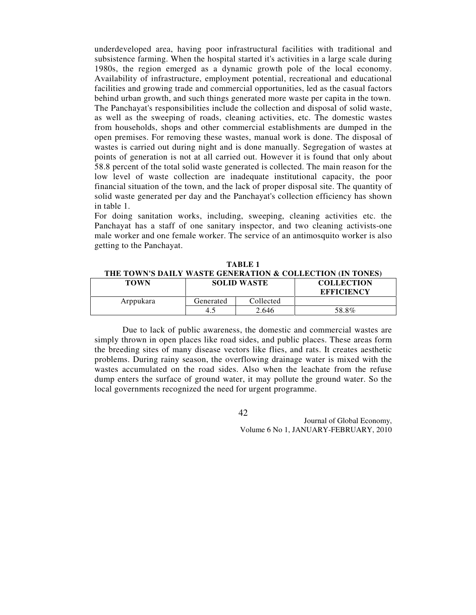underdeveloped area, having poor infrastructural facilities with traditional and subsistence farming. When the hospital started it's activities in a large scale during 1980s, the region emerged as a dynamic growth pole of the local economy. Availability of infrastructure, employment potential, recreational and educational facilities and growing trade and commercial opportunities, led as the casual factors behind urban growth, and such things generated more waste per capita in the town. The Panchayat's responsibilities include the collection and disposal of solid waste, as well as the sweeping of roads, cleaning activities, etc. The domestic wastes from households, shops and other commercial establishments are dumped in the open premises. For removing these wastes, manual work is done. The disposal of wastes is carried out during night and is done manually. Segregation of wastes at points of generation is not at all carried out. However it is found that only about 58.8 percent of the total solid waste generated is collected. The main reason for the low level of waste collection are inadequate institutional capacity, the poor financial situation of the town, and the lack of proper disposal site. The quantity of solid waste generated per day and the Panchayat's collection efficiency has shown in table 1.

For doing sanitation works, including, sweeping, cleaning activities etc. the Panchayat has a staff of one sanitary inspector, and two cleaning activists-one male worker and one female worker. The service of an antimosquito worker is also getting to the Panchayat.

| TABLE 1 |                                                           |
|---------|-----------------------------------------------------------|
|         | THE TOWN'S DAILY WASTE GENERATION & COLLECTION (IN TONES) |
|         |                                                           |

| <b>TOWN</b> | <b>SOLID WASTE</b> |           | <b>COLLECTION</b><br><b>EFFICIENCY</b> |
|-------------|--------------------|-----------|----------------------------------------|
| Arppukara   | Generated          | Collected |                                        |
|             | 4.1                | 2.646     | 58.8%                                  |

Due to lack of public awareness, the domestic and commercial wastes are simply thrown in open places like road sides, and public places. These areas form the breeding sites of many disease vectors like flies, and rats. It creates aesthetic problems. During rainy season, the overflowing drainage water is mixed with the wastes accumulated on the road sides. Also when the leachate from the refuse dump enters the surface of ground water, it may pollute the ground water. So the local governments recognized the need for urgent programme.

42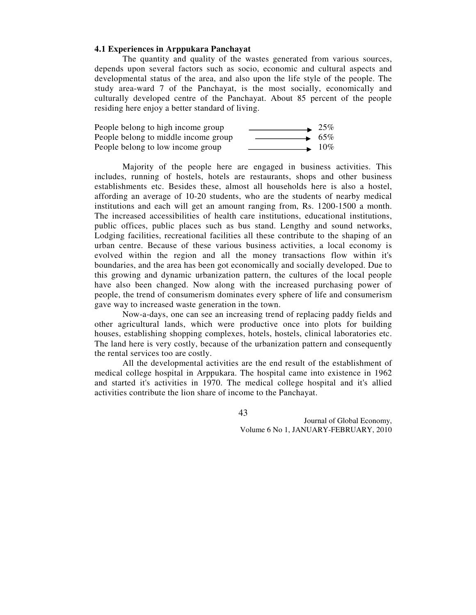#### **4.1 Experiences in Arppukara Panchayat**

The quantity and quality of the wastes generated from various sources, depends upon several factors such as socio, economic and cultural aspects and developmental status of the area, and also upon the life style of the people. The study area-ward 7 of the Panchayat, is the most socially, economically and culturally developed centre of the Panchayat. About 85 percent of the people residing here enjoy a better standard of living.

| People belong to high income group   | 25%    |
|--------------------------------------|--------|
| People belong to middle income group | $65\%$ |
| People belong to low income group    | $10\%$ |

Majority of the people here are engaged in business activities. This includes, running of hostels, hotels are restaurants, shops and other business establishments etc. Besides these, almost all households here is also a hostel, affording an average of 10-20 students, who are the students of nearby medical institutions and each will get an amount ranging from, Rs. 1200-1500 a month. The increased accessibilities of health care institutions, educational institutions, public offices, public places such as bus stand. Lengthy and sound networks, Lodging facilities, recreational facilities all these contribute to the shaping of an urban centre. Because of these various business activities, a local economy is evolved within the region and all the money transactions flow within it's boundaries, and the area has been got economically and socially developed. Due to this growing and dynamic urbanization pattern, the cultures of the local people have also been changed. Now along with the increased purchasing power of people, the trend of consumerism dominates every sphere of life and consumerism gave way to increased waste generation in the town.

Now-a-days, one can see an increasing trend of replacing paddy fields and other agricultural lands, which were productive once into plots for building houses, establishing shopping complexes, hotels, hostels, clinical laboratories etc. The land here is very costly, because of the urbanization pattern and consequently the rental services too are costly.

All the developmental activities are the end result of the establishment of medical college hospital in Arppukara. The hospital came into existence in 1962 and started it's activities in 1970. The medical college hospital and it's allied activities contribute the lion share of income to the Panchayat.

43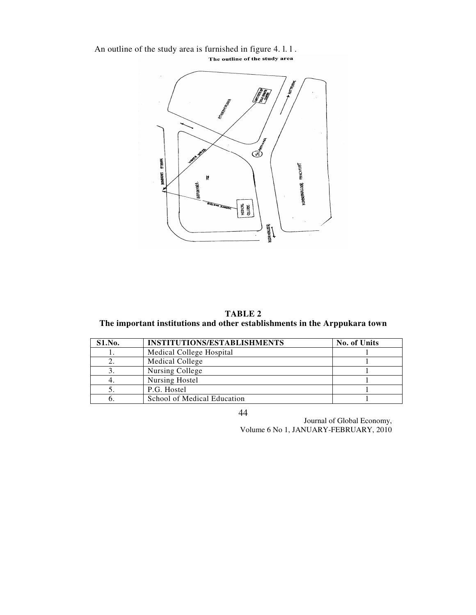An outline of the study area is furnished in figure 4. l. l.<br>The outline of the study area



**TABLE 2 The important institutions and other establishments in the Arppukara town** 

| S1.No. | <b>INSTITUTIONS/ESTABLISHMENTS</b> | No. of Units |
|--------|------------------------------------|--------------|
|        | Medical College Hospital           |              |
|        | Medical College                    |              |
| J.     | Nursing College                    |              |
| 4.     | Nursing Hostel                     |              |
|        | P.G. Hostel                        |              |
|        | School of Medical Education        |              |

44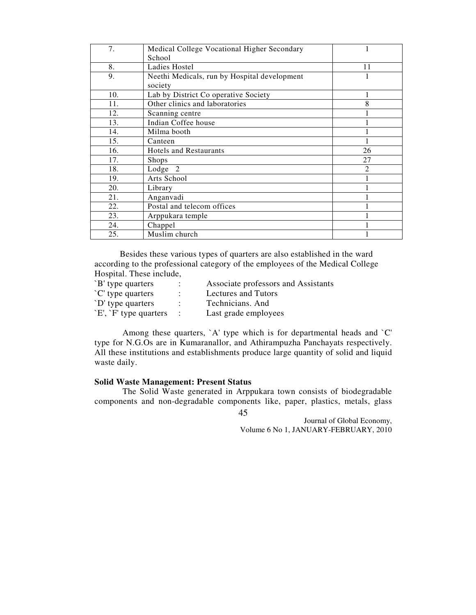| 7.  | Medical College Vocational Higher Secondary  | 1              |
|-----|----------------------------------------------|----------------|
|     | School                                       |                |
| 8.  | Ladies Hostel                                | 11             |
| 9.  | Neethi Medicals, run by Hospital development | 1              |
|     | society                                      |                |
| 10. | Lab by District Co operative Society         |                |
| 11. | Other clinics and laboratories               | 8              |
| 12. | Scanning centre                              |                |
| 13. | Indian Coffee house                          |                |
| 14. | Milma booth                                  |                |
| 15. | Canteen                                      |                |
| 16. | <b>Hotels and Restaurants</b>                | 26             |
| 17. | <b>Shops</b>                                 | 27             |
| 18. | Lodge <sub>2</sub>                           | $\overline{2}$ |
| 19. | Arts School                                  |                |
| 20. | Library                                      |                |
| 21. | Anganvadi                                    |                |
| 22. | Postal and telecom offices                   |                |
| 23. | Arppukara temple                             |                |
| 24. | Chappel                                      |                |
| 25. | Muslim church                                |                |

 Besides these various types of quarters are also established in the ward according to the professional category of the employees of the Medical College Hospital. These include,

| `B' type quarters     |                   | Associate professors and Assistants |
|-----------------------|-------------------|-------------------------------------|
| `C' type quarters     |                   | Lectures and Tutors                 |
| `D' type quarters     |                   | Technicians. And                    |
| E', `F' type quarters | $\sim$ 100 $\sim$ | Last grade employees                |

Among these quarters, `A' type which is for departmental heads and `C' type for N.G.Os are in Kumaranallor, and Athirampuzha Panchayats respectively. All these institutions and establishments produce large quantity of solid and liquid waste daily.

## **Solid Waste Management: Present Status**

The Solid Waste generated in Arppukara town consists of biodegradable components and non-degradable components like, paper, plastics, metals, glass

45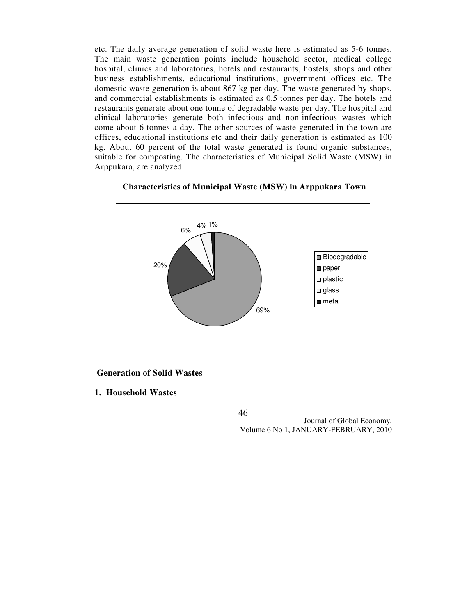etc. The daily average generation of solid waste here is estimated as 5-6 tonnes. The main waste generation points include household sector, medical college hospital, clinics and laboratories, hotels and restaurants, hostels, shops and other business establishments, educational institutions, government offices etc. The domestic waste generation is about 867 kg per day. The waste generated by shops, and commercial establishments is estimated as 0.5 tonnes per day. The hotels and restaurants generate about one tonne of degradable waste per day. The hospital and clinical laboratories generate both infectious and non-infectious wastes which come about 6 tonnes a day. The other sources of waste generated in the town are offices, educational institutions etc and their daily generation is estimated as 100 kg. About 60 percent of the total waste generated is found organic substances, suitable for composting. The characteristics of Municipal Solid Waste (MSW) in Arppukara, are analyzed



#### **Characteristics of Municipal Waste (MSW) in Arppukara Town**

 **Generation of Solid Wastes** 

**1. Household Wastes** 

46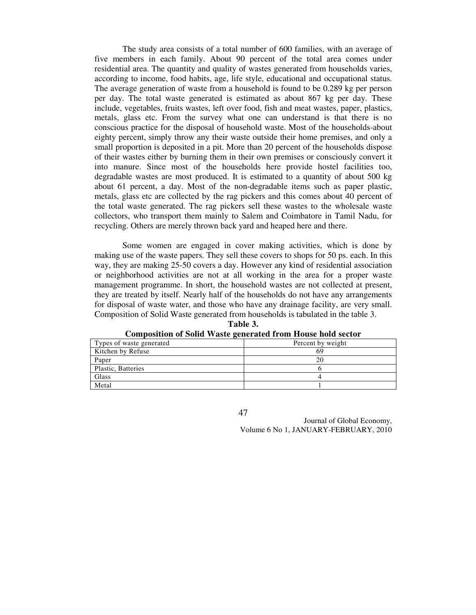The study area consists of a total number of 600 families, with an average of five members in each family. About 90 percent of the total area comes under residential area. The quantity and quality of wastes generated from households varies, according to income, food habits, age, life style, educational and occupational status. The average generation of waste from a household is found to be 0.289 kg per person per day. The total waste generated is estimated as about 867 kg per day. These include, vegetables, fruits wastes, left over food, fish and meat wastes, paper, plastics, metals, glass etc. From the survey what one can understand is that there is no conscious practice for the disposal of household waste. Most of the households-about eighty percent, simply throw any their waste outside their home premises, and only a small proportion is deposited in a pit. More than 20 percent of the households dispose of their wastes either by burning them in their own premises or consciously convert it into manure. Since most of the households here provide hostel facilities too, degradable wastes are most produced. It is estimated to a quantity of about 500 kg about 61 percent, a day. Most of the non-degradable items such as paper plastic, metals, glass etc are collected by the rag pickers and this comes about 40 percent of the total waste generated. The rag pickers sell these wastes to the wholesale waste collectors, who transport them mainly to Salem and Coimbatore in Tamil Nadu, for recycling. Others are merely thrown back yard and heaped here and there.

Some women are engaged in cover making activities, which is done by making use of the waste papers. They sell these covers to shops for 50 ps. each. In this way, they are making 25-50 covers a day. However any kind of residential association or neighborhood activities are not at all working in the area for a proper waste management programme. In short, the household wastes are not collected at present, they are treated by itself. Nearly half of the households do not have any arrangements for disposal of waste water, and those who have any drainage facility, are very small. Composition of Solid Waste generated from households is tabulated in the table 3.

| Types of waste generated | Percent by weight |  |
|--------------------------|-------------------|--|
| Kitchen by Refuse        | 69                |  |
| Paper                    |                   |  |
| Plastic, Batteries       |                   |  |
| Glass                    |                   |  |
| Metal                    |                   |  |

**Table 3. Composition of Solid Waste generated from House hold sector** 

47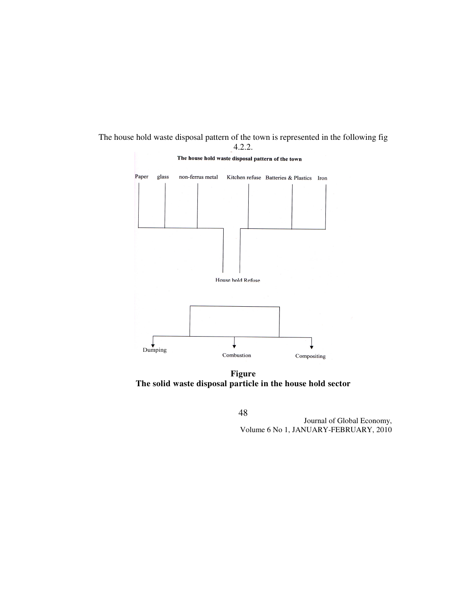

## The house hold waste disposal pattern of the town is represented in the following fig 4.2.2.

**Figure The solid waste disposal particle in the house hold sector** 

48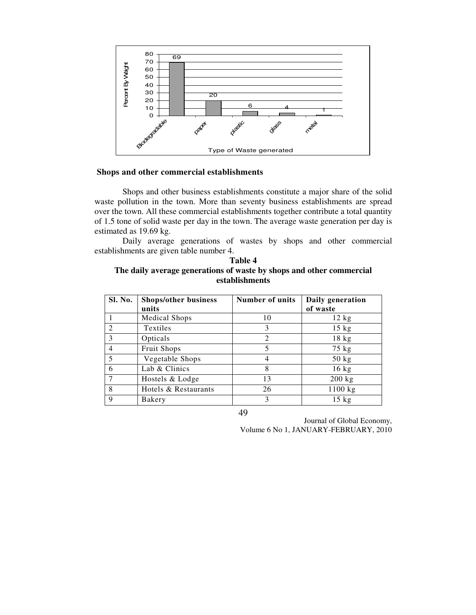

## **Shops and other commercial establishments**

Shops and other business establishments constitute a major share of the solid waste pollution in the town. More than seventy business establishments are spread over the town. All these commercial establishments together contribute a total quantity of 1.5 tone of solid waste per day in the town. The average waste generation per day is estimated as 19.69 kg.

Daily average generations of wastes by shops and other commercial establishments are given table number 4.

| <b>Table 4</b>                                                       |  |  |
|----------------------------------------------------------------------|--|--|
| The daily average generations of waste by shops and other commercial |  |  |
| establishments                                                       |  |  |

| Sl. No.       | <b>Shops/other business</b> | <b>Number of units</b> | Daily generation |
|---------------|-----------------------------|------------------------|------------------|
|               | units                       |                        | of waste         |
|               | <b>Medical Shops</b>        | 10                     | $12 \text{ kg}$  |
| $\mathcal{D}$ | Textiles                    | 3                      | $15 \text{ kg}$  |
| 3             | Opticals                    | 2                      | $18$ kg          |
|               | Fruit Shops                 | 5                      | $75$ kg          |
| 5             | Vegetable Shops             | 4                      | $50$ kg          |
| 6             | Lab & Clinics               | 8                      | $16$ kg          |
|               | Hostels & Lodge             | 13                     | $200$ kg         |
| 8             | Hotels & Restaurants        | 26                     | 1100 kg          |
| 9             | Bakery                      | 3                      | $15$ kg          |

49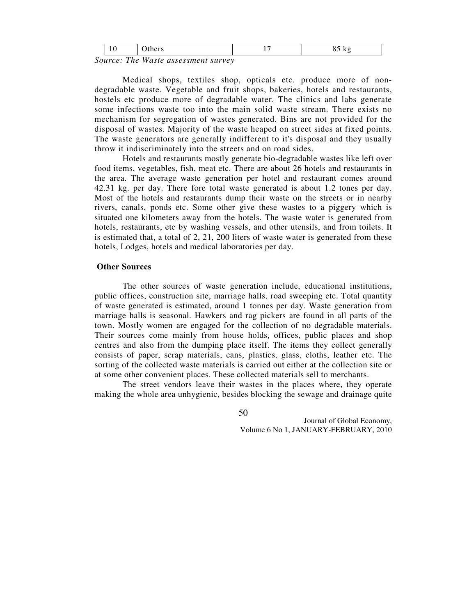| . .<br>. |  |  |
|----------|--|--|
|----------|--|--|

*Source: The Waste assessment survey* 

Medical shops, textiles shop, opticals etc. produce more of nondegradable waste. Vegetable and fruit shops, bakeries, hotels and restaurants, hostels etc produce more of degradable water. The clinics and labs generate some infections waste too into the main solid waste stream. There exists no mechanism for segregation of wastes generated. Bins are not provided for the disposal of wastes. Majority of the waste heaped on street sides at fixed points. The waste generators are generally indifferent to it's disposal and they usually throw it indiscriminately into the streets and on road sides.

Hotels and restaurants mostly generate bio-degradable wastes like left over food items, vegetables, fish, meat etc. There are about 26 hotels and restaurants in the area. The average waste generation per hotel and restaurant comes around 42.31 kg. per day. There fore total waste generated is about 1.2 tones per day. Most of the hotels and restaurants dump their waste on the streets or in nearby rivers, canals, ponds etc. Some other give these wastes to a piggery which is situated one kilometers away from the hotels. The waste water is generated from hotels, restaurants, etc by washing vessels, and other utensils, and from toilets. It is estimated that, a total of 2, 21, 200 liters of waste water is generated from these hotels, Lodges, hotels and medical laboratories per day.

#### **Other Sources**

The other sources of waste generation include, educational institutions, public offices, construction site, marriage halls, road sweeping etc. Total quantity of waste generated is estimated, around 1 tonnes per day. Waste generation from marriage halls is seasonal. Hawkers and rag pickers are found in all parts of the town. Mostly women are engaged for the collection of no degradable materials. Their sources come mainly from house holds, offices, public places and shop centres and also from the dumping place itself. The items they collect generally consists of paper, scrap materials, cans, plastics, glass, cloths, leather etc. The sorting of the collected waste materials is carried out either at the collection site or at some other convenient places. These collected materials sell to merchants.

The street vendors leave their wastes in the places where, they operate making the whole area unhygienic, besides blocking the sewage and drainage quite

50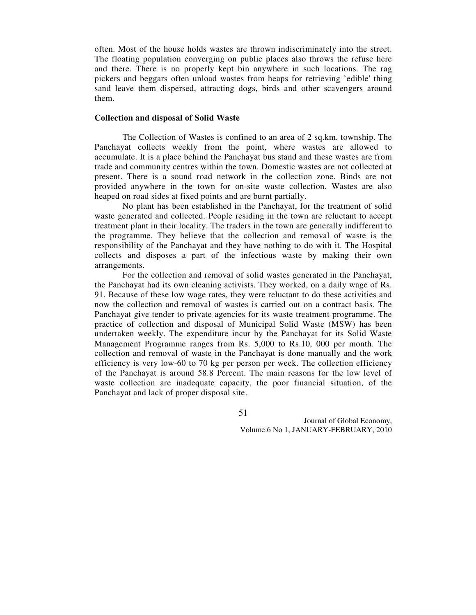often. Most of the house holds wastes are thrown indiscriminately into the street. The floating population converging on public places also throws the refuse here and there. There is no properly kept bin anywhere in such locations. The rag pickers and beggars often unload wastes from heaps for retrieving `edible' thing sand leave them dispersed, attracting dogs, birds and other scavengers around them.

#### **Collection and disposal of Solid Waste**

The Collection of Wastes is confined to an area of 2 sq.km. township. The Panchayat collects weekly from the point, where wastes are allowed to accumulate. It is a place behind the Panchayat bus stand and these wastes are from trade and community centres within the town. Domestic wastes are not collected at present. There is a sound road network in the collection zone. Binds are not provided anywhere in the town for on-site waste collection. Wastes are also heaped on road sides at fixed points and are burnt partially.

No plant has been established in the Panchayat, for the treatment of solid waste generated and collected. People residing in the town are reluctant to accept treatment plant in their locality. The traders in the town are generally indifferent to the programme. They believe that the collection and removal of waste is the responsibility of the Panchayat and they have nothing to do with it. The Hospital collects and disposes a part of the infectious waste by making their own arrangements.

For the collection and removal of solid wastes generated in the Panchayat, the Panchayat had its own cleaning activists. They worked, on a daily wage of Rs. 91. Because of these low wage rates, they were reluctant to do these activities and now the collection and removal of wastes is carried out on a contract basis. The Panchayat give tender to private agencies for its waste treatment programme. The practice of collection and disposal of Municipal Solid Waste (MSW) has been undertaken weekly. The expenditure incur by the Panchayat for its Solid Waste Management Programme ranges from Rs. 5,000 to Rs.10, 000 per month. The collection and removal of waste in the Panchayat is done manually and the work efficiency is very low-60 to 70 kg per person per week. The collection efficiency of the Panchayat is around 58.8 Percent. The main reasons for the low level of waste collection are inadequate capacity, the poor financial situation, of the Panchayat and lack of proper disposal site.

51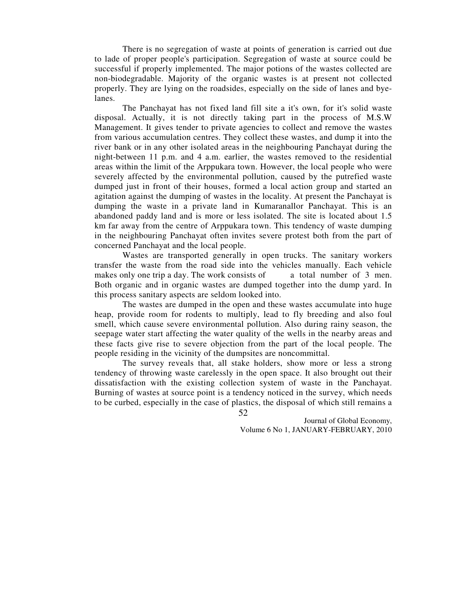There is no segregation of waste at points of generation is carried out due to lade of proper people's participation. Segregation of waste at source could be successful if properly implemented. The major potions of the wastes collected are non-biodegradable. Majority of the organic wastes is at present not collected properly. They are lying on the roadsides, especially on the side of lanes and byelanes.

The Panchayat has not fixed land fill site a it's own, for it's solid waste disposal. Actually, it is not directly taking part in the process of M.S.W Management. It gives tender to private agencies to collect and remove the wastes from various accumulation centres. They collect these wastes, and dump it into the river bank or in any other isolated areas in the neighbouring Panchayat during the night-between 11 p.m. and 4 a.m. earlier, the wastes removed to the residential areas within the limit of the Arppukara town. However, the local people who were severely affected by the environmental pollution, caused by the putrefied waste dumped just in front of their houses, formed a local action group and started an agitation against the dumping of wastes in the locality. At present the Panchayat is dumping the waste in a private land in Kumaranallor Panchayat. This is an abandoned paddy land and is more or less isolated. The site is located about 1.5 km far away from the centre of Arppukara town. This tendency of waste dumping in the neighbouring Panchayat often invites severe protest both from the part of concerned Panchayat and the local people.

Wastes are transported generally in open trucks. The sanitary workers transfer the waste from the road side into the vehicles manually. Each vehicle makes only one trip a day. The work consists of a total number of 3 men. Both organic and in organic wastes are dumped together into the dump yard. In this process sanitary aspects are seldom looked into.

The wastes are dumped in the open and these wastes accumulate into huge heap, provide room for rodents to multiply, lead to fly breeding and also foul smell, which cause severe environmental pollution. Also during rainy season, the seepage water start affecting the water quality of the wells in the nearby areas and these facts give rise to severe objection from the part of the local people. The people residing in the vicinity of the dumpsites are noncommittal.

The survey reveals that, all stake holders, show more or less a strong tendency of throwing waste carelessly in the open space. It also brought out their dissatisfaction with the existing collection system of waste in the Panchayat. Burning of wastes at source point is a tendency noticed in the survey, which needs to be curbed, especially in the case of plastics, the disposal of which still remains a

> Journal of Global Economy, Volume 6 No 1, JANUARY-FEBRUARY, 2010

52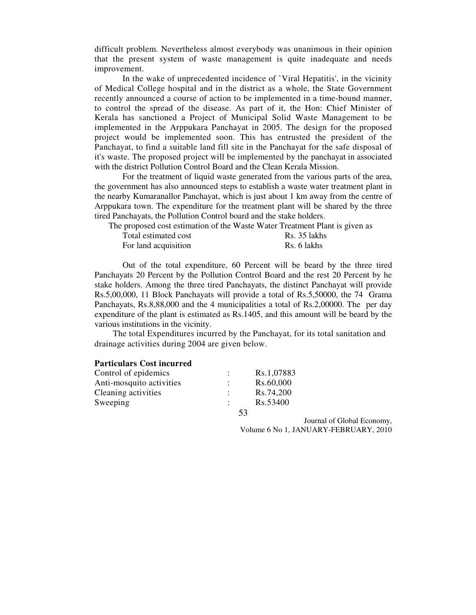difficult problem. Nevertheless almost everybody was unanimous in their opinion that the present system of waste management is quite inadequate and needs improvement.

In the wake of unprecedented incidence of `Viral Hepatitis', in the vicinity of Medical College hospital and in the district as a whole, the State Government recently announced a course of action to be implemented in a time-bound manner, to control the spread of the disease. As part of it, the Hon: Chief Minister of Kerala has sanctioned a Project of Municipal Solid Waste Management to be implemented in the Arppukara Panchayat in 2005. The design for the proposed project would be implemented soon. This has entrusted the president of the Panchayat, to find a suitable land fill site in the Panchayat for the safe disposal of it's waste. The proposed project will be implemented by the panchayat in associated with the district Pollution Control Board and the Clean Kerala Mission.

For the treatment of liquid waste generated from the various parts of the area, the government has also announced steps to establish a waste water treatment plant in the nearby Kumaranallor Panchayat, which is just about 1 km away from the centre of Arppukara town. The expenditure for the treatment plant will be shared by the three tired Panchayats, the Pollution Control board and the stake holders.

The proposed cost estimation of the Waste Water Treatment Plant is given as

| Total estimated cost | Rs. 35 lakhs |
|----------------------|--------------|
| For land acquisition | Rs. 6 lakhs  |

Out of the total expenditure, 60 Percent will be beard by the three tired Panchayats 20 Percent by the Pollution Control Board and the rest 20 Percent by he stake holders. Among the three tired Panchayats, the distinct Panchayat will provide Rs.5,00,000, 11 Block Panchayats will provide a total of Rs.5,50000, the 74 Grama Panchayats, Rs.8,88,000 and the 4 municipalities a total of Rs.2,00000. The per day expenditure of the plant is estimated as Rs.1405, and this amount will be beard by the various institutions in the vicinity.

 The total Expenditures incurred by the Panchayat, for its total sanitation and drainage activities during 2004 are given below.

### **Particulars Cost incurred**

| Control of epidemics     |    | Rs.1,07883 |  |
|--------------------------|----|------------|--|
| Anti-mosquito activities |    | Rs.60,000  |  |
| Cleaning activities      |    | Rs.74,200  |  |
| Sweeping                 |    | Rs.53400   |  |
|                          | 53 |            |  |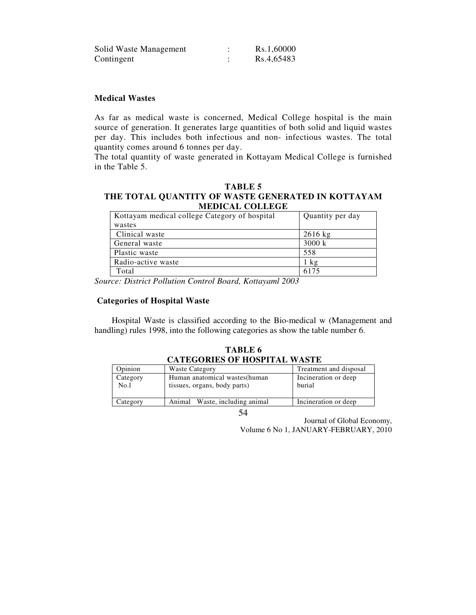| Solid Waste Management | Rs.1,60000 |
|------------------------|------------|
| Contingent             | Rs.4,65483 |

## **Medical Wastes**

As far as medical waste is concerned, Medical College hospital is the main source of generation. It generates large quantities of both solid and liquid wastes per day. This includes both infectious and non- infectious wastes. The total quantity comes around 6 tonnes per day.

The total quantity of waste generated in Kottayam Medical College is furnished in the Table 5.

#### **TABLE 5 THE TOTAL QUANTITY OF WASTE GENERATED IN KOTTAYAM MEDICAL COLLEGE**

| Kottayam medical college Category of hospital | Quantity per day |
|-----------------------------------------------|------------------|
| wastes                                        |                  |
| Clinical waste                                | $2616$ kg        |
| General waste                                 | 3000 k           |
| Plastic waste                                 | 558              |
| Radio-active waste                            | $1 \text{ kg}$   |
| Total                                         | 6175             |

*Source: District Pollution Control Board, Kottayaml 2003* 

#### **Categories of Hospital Waste**

 Hospital Waste is classified according to the Bio-medical w (Management and handling) rules 1998, into the following categories as show the table number 6.

| CATEGORIES OF HOSPITAL WASTE |                                                                |                                |  |
|------------------------------|----------------------------------------------------------------|--------------------------------|--|
| Opinion                      | <b>Waste Category</b>                                          | Treatment and disposal         |  |
| Category<br>No.l             | Human anatomical wastes (human<br>tissues, organs, body parts) | Incineration or deep<br>burial |  |
| Category                     | Animal Waste, including animal                                 | Incineration or deep           |  |
|                              |                                                                |                                |  |

 **TABLE 6 CATEGORIES OF HOSPITAL WASTE**

54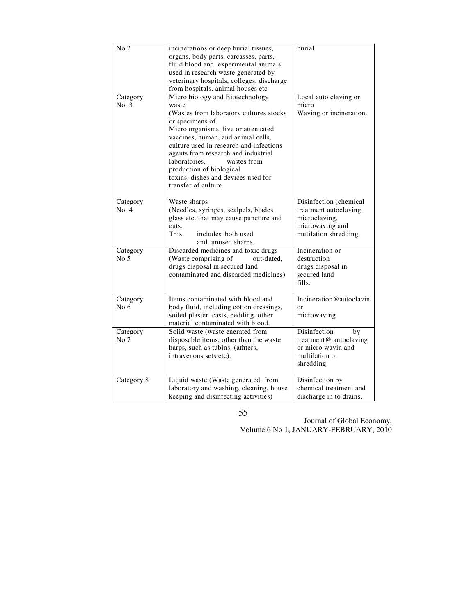| No.2              | incinerations or deep burial tissues,<br>organs, body parts, carcasses, parts,<br>fluid blood and experimental animals<br>used in research waste generated by<br>veterinary hospitals, colleges, discharge<br>from hospitals, animal houses etc                                                                                                                                                  | burial                                                                                                        |
|-------------------|--------------------------------------------------------------------------------------------------------------------------------------------------------------------------------------------------------------------------------------------------------------------------------------------------------------------------------------------------------------------------------------------------|---------------------------------------------------------------------------------------------------------------|
| Category<br>No. 3 | Micro biology and Biotechnology<br>waste<br>(Wastes from laboratory cultures stocks<br>or specimens of<br>Micro organisms, live or attenuated<br>vaccines, human, and animal cells,<br>culture used in research and infections<br>agents from research and industrial<br>laboratories,<br>wastes from<br>production of biological<br>toxins, dishes and devices used for<br>transfer of culture. | Local auto claving or<br>micro<br>Waving or incineration.                                                     |
| Category<br>No. 4 | Waste sharps<br>(Needles, syringes, scalpels, blades<br>glass etc. that may cause puncture and<br>cuts.<br><b>This</b><br>includes both used<br>and unused sharps.                                                                                                                                                                                                                               | Disinfection (chemical<br>treatment autoclaving,<br>microclaving,<br>microwaving and<br>mutilation shredding. |
| Category<br>No.5  | Discarded medicines and toxic drugs<br>(Waste comprising of<br>out-dated,<br>drugs disposal in secured land<br>contaminated and discarded medicines)                                                                                                                                                                                                                                             | Incineration or<br>destruction<br>drugs disposal in<br>secured land<br>fills.                                 |
| Category<br>No.6  | Items contaminated with blood and<br>body fluid, including cotton dressings,<br>soiled plaster casts, bedding, other<br>material contaminated with blood.                                                                                                                                                                                                                                        | Incineration@autoclavin<br>$\alpha$ r<br>microwaving                                                          |
| Category<br>No.7  | Solid waste (waste enerated from<br>disposable items, other than the waste<br>harps, such as tubins, (athters,<br>intravenous sets etc).                                                                                                                                                                                                                                                         | Disinfection<br>by<br>treatment@ autoclaving<br>or micro wavin and<br>multilation or<br>shredding.            |
| Category 8        | Liquid waste (Waste generated from<br>laboratory and washing, cleaning, house<br>keeping and disinfecting activities)                                                                                                                                                                                                                                                                            | Disinfection by<br>chemical treatment and<br>discharge in to drains.                                          |

55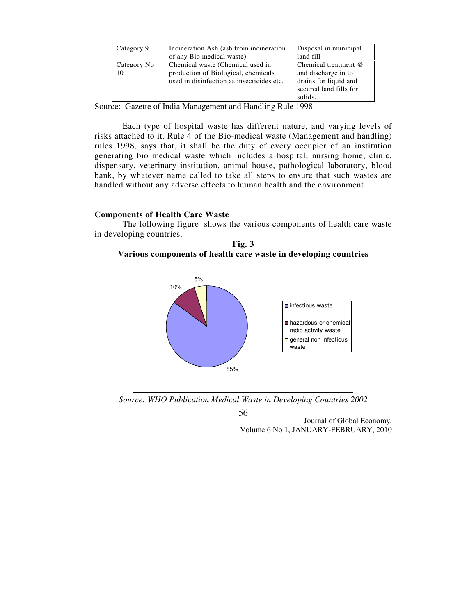| Category 9        | Incineration Ash (ash from incineration<br>of any Bio medical waste)                                                 | Disposal in municipal<br>land fill                                                                        |
|-------------------|----------------------------------------------------------------------------------------------------------------------|-----------------------------------------------------------------------------------------------------------|
| Category No<br>10 | Chemical waste (Chemical used in<br>production of Biological, chemicals<br>used in disinfection as insecticides etc. | Chemical treatment @<br>and discharge in to<br>drains for liquid and<br>secured land fills for<br>solids. |

Source: Gazette of India Management and Handling Rule 1998

Each type of hospital waste has different nature, and varying levels of risks attached to it. Rule 4 of the Bio-medical waste (Management and handling) rules 1998, says that, it shall be the duty of every occupier of an institution generating bio medical waste which includes a hospital, nursing home, clinic, dispensary, veterinary institution, animal house, pathological laboratory, blood bank, by whatever name called to take all steps to ensure that such wastes are handled without any adverse effects to human health and the environment.

## **Components of Health Care Waste**

The following figure shows the various components of health care waste in developing countries.

**Fig. 3 Various components of health care waste in developing countries**



*Source: WHO Publication Medical Waste in Developing Countries 2002* 

56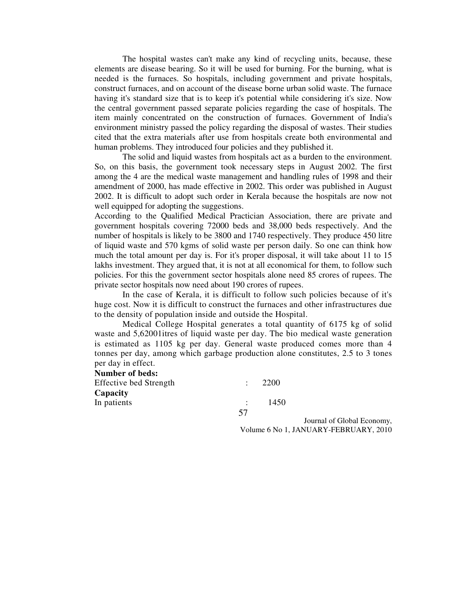The hospital wastes can't make any kind of recycling units, because, these elements are disease bearing. So it will be used for burning. For the burning, what is needed is the furnaces. So hospitals, including government and private hospitals, construct furnaces, and on account of the disease borne urban solid waste. The furnace having it's standard size that is to keep it's potential while considering it's size. Now the central government passed separate policies regarding the case of hospitals. The item mainly concentrated on the construction of furnaces. Government of India's environment ministry passed the policy regarding the disposal of wastes. Their studies cited that the extra materials after use from hospitals create both environmental and human problems. They introduced four policies and they published it.

The solid and liquid wastes from hospitals act as a burden to the environment. So, on this basis, the government took necessary steps in August 2002. The first among the 4 are the medical waste management and handling rules of 1998 and their amendment of 2000, has made effective in 2002. This order was published in August 2002. It is difficult to adopt such order in Kerala because the hospitals are now not well equipped for adopting the suggestions.

According to the Qualified Medical Practician Association, there are private and government hospitals covering 72000 beds and 38,000 beds respectively. And the number of hospitals is likely to be 3800 and 1740 respectively. They produce 450 litre of liquid waste and 570 kgms of solid waste per person daily. So one can think how much the total amount per day is. For it's proper disposal, it will take about 11 to 15 lakhs investment. They argued that, it is not at all economical for them, to follow such policies. For this the government sector hospitals alone need 85 crores of rupees. The private sector hospitals now need about 190 crores of rupees.

In the case of Kerala, it is difficult to follow such policies because of it's huge cost. Now it is difficult to construct the furnaces and other infrastructures due to the density of population inside and outside the Hospital.

Medical College Hospital generates a total quantity of 6175 kg of solid waste and 5,62001itres of liquid waste per day. The bio medical waste generation is estimated as 1105 kg per day. General waste produced comes more than 4 tonnes per day, among which garbage production alone constitutes, 2.5 to 3 tones per day in effect.

#### **Number of beds:**

| <b>Effective bed Strength</b> |    | 2200 |
|-------------------------------|----|------|
| Capacity                      |    |      |
| In patients                   |    | 1450 |
|                               | 57 |      |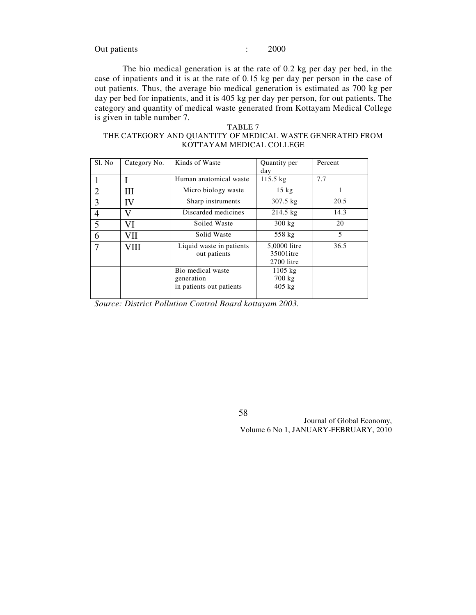Out patients : 2000

The bio medical generation is at the rate of 0.2 kg per day per bed, in the case of inpatients and it is at the rate of 0.15 kg per day per person in the case of out patients. Thus, the average bio medical generation is estimated as 700 kg per day per bed for inpatients, and it is 405 kg per day per person, for out patients. The category and quantity of medical waste generated from Kottayam Medical College is given in table number 7.

#### TABLE 7

#### THE CATEGORY AND QUANTITY OF MEDICAL WASTE GENERATED FROM KOTTAYAM MEDICAL COLLEGE

| Sl. No | Category No. | Kinds of Waste           | Quantity per       | Percent |
|--------|--------------|--------------------------|--------------------|---------|
|        |              |                          | day                |         |
|        |              | Human anatomical waste   | 115.5 kg           | 7.7     |
| 2      | Ш            | Micro biology waste      | $15 \text{ kg}$    | 1       |
| 3      | IV           | Sharp instruments        | $307.5 \text{ kg}$ | 20.5    |
| 4      | V            | Discarded medicines      | $214.5 \text{ kg}$ | 14.3    |
| 5      | VI           | Soiled Waste             | $300 \text{ kg}$   | 20      |
| 6      | VII          | Solid Waste              | 558 kg             | 5       |
|        | VIII         | Liquid waste in patients | 5,0000 litre       | 36.5    |
|        |              | out patients             | 35001 itre         |         |
|        |              |                          | 2700 litre         |         |
|        |              | Bio medical waste        | $1105$ kg          |         |
|        |              | generation               | $700 \text{ kg}$   |         |
|        |              | in patients out patients | $405$ kg           |         |
|        |              |                          |                    |         |

*Source: District Pollution Control Board kottayam 2003.* 

58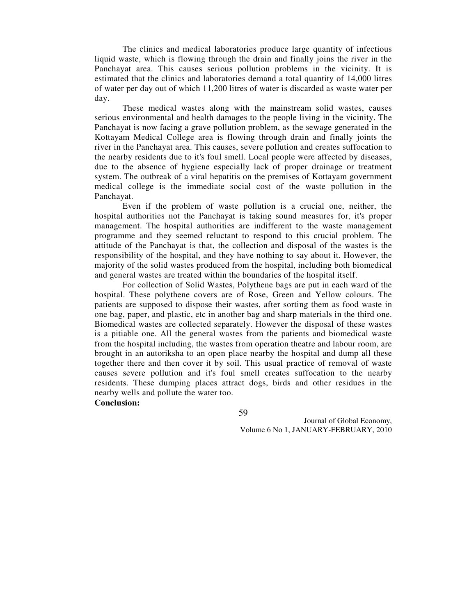The clinics and medical laboratories produce large quantity of infectious liquid waste, which is flowing through the drain and finally joins the river in the Panchayat area. This causes serious pollution problems in the vicinity. It is estimated that the clinics and laboratories demand a total quantity of 14,000 litres of water per day out of which 11,200 litres of water is discarded as waste water per day.

These medical wastes along with the mainstream solid wastes, causes serious environmental and health damages to the people living in the vicinity. The Panchayat is now facing a grave pollution problem, as the sewage generated in the Kottayam Medical College area is flowing through drain and finally joints the river in the Panchayat area. This causes, severe pollution and creates suffocation to the nearby residents due to it's foul smell. Local people were affected by diseases, due to the absence of hygiene especially lack of proper drainage or treatment system. The outbreak of a viral hepatitis on the premises of Kottayam government medical college is the immediate social cost of the waste pollution in the Panchayat.

Even if the problem of waste pollution is a crucial one, neither, the hospital authorities not the Panchayat is taking sound measures for, it's proper management. The hospital authorities are indifferent to the waste management programme and they seemed reluctant to respond to this crucial problem. The attitude of the Panchayat is that, the collection and disposal of the wastes is the responsibility of the hospital, and they have nothing to say about it. However, the majority of the solid wastes produced from the hospital, including both biomedical and general wastes are treated within the boundaries of the hospital itself.

For collection of Solid Wastes, Polythene bags are put in each ward of the hospital. These polythene covers are of Rose, Green and Yellow colours. The patients are supposed to dispose their wastes, after sorting them as food waste in one bag, paper, and plastic, etc in another bag and sharp materials in the third one. Biomedical wastes are collected separately. However the disposal of these wastes is a pitiable one. All the general wastes from the patients and biomedical waste from the hospital including, the wastes from operation theatre and labour room, are brought in an autoriksha to an open place nearby the hospital and dump all these together there and then cover it by soil. This usual practice of removal of waste causes severe pollution and it's foul smell creates suffocation to the nearby residents. These dumping places attract dogs, birds and other residues in the nearby wells and pollute the water too.

**Conclusion:** 

59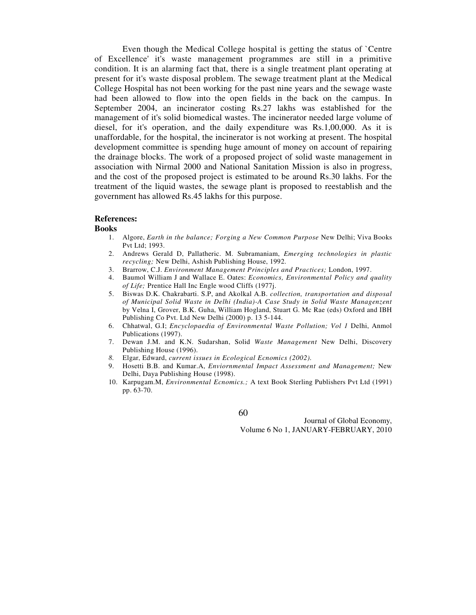Even though the Medical College hospital is getting the status of `Centre of Excellence' it's waste management programmes are still in a primitive condition. It is an alarming fact that, there is a single treatment plant operating at present for it's waste disposal problem. The sewage treatment plant at the Medical College Hospital has not been working for the past nine years and the sewage waste had been allowed to flow into the open fields in the back on the campus. In September 2004, an incinerator costing Rs.27 lakhs was established for the management of it's solid biomedical wastes. The incinerator needed large volume of diesel, for it's operation, and the daily expenditure was Rs.1,00,000. As it is unaffordable, for the hospital, the incinerator is not working at present. The hospital development committee is spending huge amount of money on account of repairing the drainage blocks. The work of a proposed project of solid waste management in association with Nirmal 2000 and National Sanitation Mission is also in progress, and the cost of the proposed project is estimated to be around Rs.30 lakhs. For the treatment of the liquid wastes, the sewage plant is proposed to reestablish and the government has allowed Rs.45 lakhs for this purpose.

#### **References:**

#### **Books**

- 1. Algore, *Earth in the balance; Forging a New Common Purpose* New Delhi; Viva Books Pvt Ltd; 1993.
- 2. Andrews Gerald D, Pallatheric. M. Subramaniam, *Emerging technologies in plastic recycling;* New Delhi, Ashish Publishing House, 1992.
- 3. Brarrow, C.J. *Environment Management Principles and Practices;* London, 1997.
- 4. Baumol William J and Wallace E. Oates: *Economics, Environmental Policy and quality of Life;* Prentice Hall Inc Engle wood Cliffs (1977j.
- 5. Biswas D.K. Chakrabarti. S.P, and Akolkal A.B. *collection, transportation and disposal of Municipal Solid Waste in Delhi (India)-A Case Study in Solid Waste Managenzent*  by Velna I, Grover, B.K. Guha, William Hogland, Stuart G. Mc Rae (eds) Oxford and IBH Publishing Co Pvt. Ltd New Delhi (2000) p. 13 5-144.
- 6. Chhatwal, G.I; *Encyclopaedia of Environmental Waste Pollution; Vol 1* Delhi, Anmol Publications (1997).
- 7. Dewan J.M. and K.N. Sudarshan, Solid *Waste Management* New Delhi, Discovery Publishing House (1996).
- *8.* Elgar, Edward, *current issues in Ecological Ecnomics (2002).*
- 9. Hosetti B.B. and Kumar.A, *Enviornmental Impact Assessment and Management;* New Delhi, Daya Publishing House (1998).
- 10. Karpugam.M, *Environmental Ecnomics.;* A text Book Sterling Publishers Pvt Ltd (1991) pp. 63-70.

60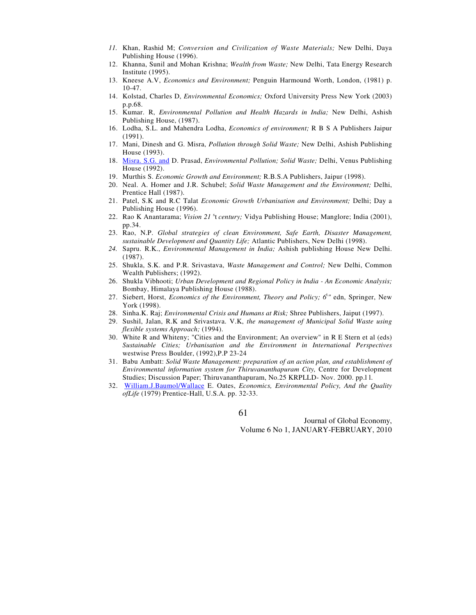- *11.* Khan, Rashid M; *Conversion and Civilization of Waste Materials;* New Delhi, Daya Publishing House (1996).
- 12. Khanna, Sunil and Mohan Krishna; *Wealth from Waste;* New Delhi, Tata Energy Research Institute (1995).
- 13. Kneese A.V, *Economics and Environment;* Penguin Harmound Worth, London, (1981) p. 10-47.
- 14. Kolstad, Charles D, *Environmental Economics;* Oxford University Press New York (2003) p.p.68.
- 15. Kumar. R, *Environmental Pollution and Health Hazards in India;* New Delhi, Ashish Publishing House, (1987).
- 16. Lodha, S.L. and Mahendra Lodha, *Economics of environment;* R B S A Publishers Jaipur (1991).
- 17. Mani, Dinesh and G. Misra, *Pollution through Solid Waste;* New Delhi, Ashish Publishing House (1993).
- 18. Misra. S.G. and D. Prasad, *Environmental Pollution; Solid Waste;* Delhi, Venus Publishing House (1992).
- 19. Murthis S. *Economic Growth and Environment;* R.B.S.A Publishers, Jaipur (1998).
- 20. Neal. A. Homer and J.R. Schubel; *Solid Waste Management and the Environment;* Delhi, Prentice Hall (1987).
- 21. Patel, S.K and R.C Talat *Economic Growth Urbanisation and Environment;* Delhi; Day a Publishing House (1996).
- 22. Rao K Anantarama; *Vision 21 <sup>s</sup>t century*; Vidya Publishing House; Manglore; India (2001), pp.34.
- 23. Rao, N.P. *Global strategies of clean Environment, Safe Earth, Disaster Management, sustainable Development and Quantity Life;* Atlantic Publishers, New Delhi (1998).
- *24.* Sapru. R.K., *Environmental Management in India;* Ashish publishing House New Delhi. (1987).
- 25. Shukla, S.K. and P.R. Srivastava, *Waste Management and Control;* New Delhi, Common Wealth Publishers; (1992).
- 26. Shukla Vibhooti; *Urban Development and Regional Policy in India An Economic Analysis;*  Bombay, Himalaya Publishing House (1988).
- 27. Siebert, Horst, *Economics of the Environment, Theory and Policy; 6*<sup>t</sup> *"* edn, Springer, New York (1998).
- 28. Sinha.K. Raj; *Environmental Crisis and Humans at Risk;* Shree Publishers, Jaiput (1997).
- 29. Sushil, Jalan, R.K and Srivastava. V.K, *the management of Municipal Solid Waste using flexible systems Approach;* (1994).
- 30. White R and Whiteny; "Cities and the Environment; An overview" in R E Stern et al (eds) *Sustainable Cities; Urbanisation and the Environment in International Perspectives*  westwise Press Boulder, (1992),P.P 23-24
- 31. Babu Ambatt: *Solid Waste Management: preparation of an action plan, and establishment of Environmental information system for Thiruvananthapuram City,* Centre for Development Studies; Discussion Paper; Thiruvananthapuram, No.25 KRPLLD- Nov. 2000. pp.l l.
- 32. William.J.Baumol/Wallace E. Oates, *Economics, Environmental Policy, And the Quality ofLife* (1979) Prentice-Hall, U.S.A. pp. 32-33.

61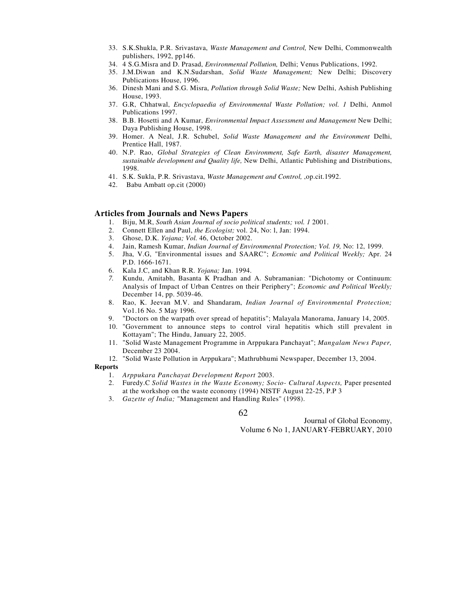- 33. S.K.Shukla, P.R. Srivastava, *Waste Management and Control,* New Delhi, Commonwealth publishers, 1992, pp146.
- 34. 4 S.G.Misra and D. Prasad, *Environmental Pollution,* Delhi; Venus Publications, 1992.
- 35. J.M.Diwan and K.N.Sudarshan, *Solid Waste Management;* New Delhi; Discovery Publications House, 1996.
- 36. Dinesh Mani and S.G. Misra, *Pollution through Solid Waste;* New Delhi, Ashish Publishing House, 1993.
- 37. G.R, Chhatwal, *Encyclopaedia of Environmental Waste Pollution; vol. 1* Delhi, Anmol Publications 1997.
- 38. B.B. Hosetti and A Kumar, *Environmental Impact Assessment and Management* New Delhi; Daya Publishing House, 1998.
- 39. Homer. A Neal, J.R. Schubel, *Solid Waste Management and the Environment* Delhi, Prentice Hall, 1987.
- 40. N.P. Rao, *Global Strategies of Clean Environment, Safe Earth, disaster Management, sustainable development and Quality life,* New Delhi, Atlantic Publishing and Distributions, 1998.
- 41. S.K. Sukla, P.R. Srivastava, *Waste Management and Control,* ,op.cit.1992.
- 42. Babu Ambatt op.cit (2000)

## **Articles from Journals and News Papers**

- 1. Biju, M.R, *South Asian Journal of socio political students; vol. 1* 2001.
- 2. Connett Ellen and Paul, *the Ecologist;* vol. 24, No: l, Jan: 1994.
- 3. Ghose, D.K. *Yojana; Vol.* 46, October 2002.
- 4. Jain, Ramesh Kumar, *Indian Journal of Environmental Protection; Vol. 19,* No: 12, 1999.
- 5. Jha, V.G, "Environmental issues and SAARC"; *Ecnomic and Political Weekly;* Apr. 24 P.D. 1666-1671.
- 6. Kala J.C, and Khan R.R. *Yojana;* Jan. 1994.
- *7.* Kundu, Amitabh, Basanta K Pradhan and A. Subramanian: "Dichotomy or Continuum: Analysis of Impact of Urban Centres on their Periphery"; *Economic and Political Weekly;*  December 14, pp. 5039-46.
- 8. Rao, K. Jeevan M.V. and Shandaram, *Indian Journal of Environmental Protection;*  Vo1.16 No. 5 May 1996.
- 9. "Doctors on the warpath over spread of hepatitis"; Malayala Manorama, January 14, 2005.
- 10. "Government to announce steps to control viral hepatitis which still prevalent in Kottayam"; The Hindu, January 22, 2005.
- 11. "Solid Waste Management Programme in Arppukara Panchayat"; *Mangalam News Paper,*  December 23 2004.
- 12. "Solid Waste Pollution in Arppukara"; Mathrubhumi Newspaper, December 13, 2004.

#### **Reports**

- 1. *Arppukara Panchayat Development Report* 2003.
- 2. Furedy.C *Solid Wastes in the Waste Economy; Socio- Cultural Aspects,* Paper presented at the workshop on the waste economy (1994) NISTF August 22-25, P.P 3
- 3. *Gazette of India;* "Management and Handling Rules" (1998).

62